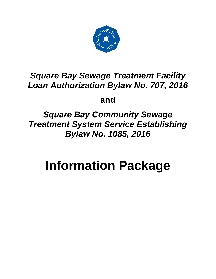

# *Square Bay Sewage Treatment Facility Loan Authorization Bylaw No. 707, 2016*

**and** 

*Square Bay Community Sewage Treatment System Service Establishing Bylaw No. 1085, 2016*

# **Information Package**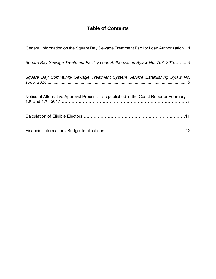# **Table of Contents**

| General Information on the Square Bay Sewage Treatment Facility Loan Authorization1  |
|--------------------------------------------------------------------------------------|
| Square Bay Sewage Treatment Facility Loan Authorization Bylaw No. 707, 20163         |
| Square Bay Community Sewage Treatment System Service Establishing Bylaw No.          |
| Notice of Alternative Approval Process – as published in the Coast Reporter February |
|                                                                                      |
|                                                                                      |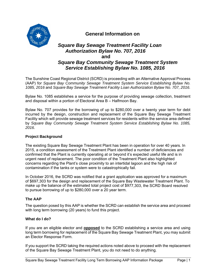

### **General Information on**

# *Square Bay Sewage Treatment Facility Loan Authorization Bylaw No. 707, 2016* **and**  *Square Bay Community Sewage Treatment System Service Establishing Bylaw No. 1085, 2016*

The Sunshine Coast Regional District (SCRD) is proceeding with an Alternative Approval Process (AAP) for *Square Bay Community Sewage Treatment System Service Establishing Bylaw No. 1085, 2016* and *Square Bay Sewage Treatment Facility Loan Authorization Bylaw No. 707, 2016.* 

Bylaw No. 1085 establishes a service for the purpose of providing sewage collection, treatment and disposal within a portion of Electoral Area B – Halfmoon Bay.

Bylaw No. 707 provides for the borrowing of up to \$280,000 over a twenty year term for debt incurred by the design, construction and replacement of the Square Bay Sewage Treatment Facility which will provide sewage treatment services for residents within the service area defined by *Square Bay Community Sewage Treatment System Service Establishing Bylaw No. 1085, 2016*.

#### **Project Background**

The existing Square Bay Sewage Treatment Plant has been in operation for over 40 years. In 2015, a condition assessment of the Treatment Plant identified a number of deficiencies and confirmed that the Plant is currently operating at or beyond it's expected useful life and is in urgent need of replacement. The poor condition of the Treatment Plant also highlighted concerns regarding the Plant's close proximity to an intertidal lagoon and the high risk of contamination if the tanks or system were to catastrophically fail.

In October 2016, the SCRD was notified that a grant application was approved for a maximum of \$697,303 for the design and replacement of the Square Bay Wastewater Treatment Plant. To make up the balance of the estimated total project cost of \$977,303, the SCRD Board resolved to pursue borrowing of up to \$280,000 over a 20 year term.

#### **The AAP**

The question posed by this AAP is whether the SCRD can establish the service area and proceed with long term borrowing (20 years) to fund this project.

#### **What do I do?**

If you are an eligible elector and **opposed** to the SCRD establishing a service area and using long term borrowing for replacement of the Square Bay Sewage Treatment Plant, you may submit an Elector Response Form.

If you support the SCRD taking the required actions noted above to proceed with the replacement of the Square Bay Sewage Treatment Plant, you do not need to do anything.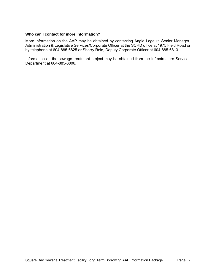#### **Who can I contact for more information?**

More information on the AAP may be obtained by contacting Angie Legault, Senior Manager, Administration & Legislative Services/Corporate Officer at the SCRD office at 1975 Field Road or by telephone at 604-885-6825 or Sherry Reid, Deputy Corporate Officer at 604-885-6813.

Information on the sewage treatment project may be obtained from the Infrastructure Services Department at 604-885-6806.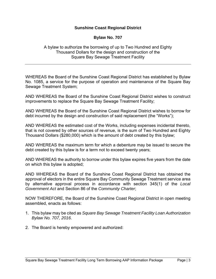#### **Sunshine Coast Regional District**

#### **Bylaw No. 707**

A bylaw to authorize the borrowing of up to Two Hundred and Eighty Thousand Dollars for the design and construction of the Square Bay Sewage Treatment Facility

WHEREAS the Board of the Sunshine Coast Regional District has established by Bylaw No. 1085, a service for the purpose of operation and maintenance of the Square Bay Sewage Treatment System;

AND WHEREAS the Board of the Sunshine Coast Regional District wishes to construct improvements to replace the Square Bay Sewage Treatment Facility;

AND WHEREAS the Board of the Sunshine Coast Regional District wishes to borrow for debt incurred by the design and construction of said replacement (the "Works");

AND WHEREAS the estimated cost of the Works, including expenses incidental thereto, that is not covered by other sources of revenue, is the sum of Two Hundred and Eighty Thousand Dollars (\$280,000) which is the amount of debt created by this bylaw;

AND WHEREAS the maximum term for which a debenture may be issued to secure the debt created by this bylaw is for a term not to exceed twenty years;

AND WHEREAS the authority to borrow under this bylaw expires five years from the date on which this bylaw is adopted;

AND WHEREAS the Board of the Sunshine Coast Regional District has obtained the approval of electors in the entire Square Bay Community Sewage Treatment service area by alternative approval process in accordance with section 345(1) of the *Local Government Act* and Section 86 of the *Community Charter*;

NOW THEREFORE, the Board of the Sunshine Coast Regional District in open meeting assembled, enacts as follows:

- 1. This bylaw may be cited as *Square Bay Sewage Treatment Facility Loan Authorization Bylaw No. 707, 2016*.
- 2. The Board is hereby empowered and authorized: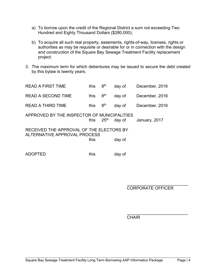- a) To borrow upon the credit of the Regional District a sum not exceeding Two Hundred and Eighty Thousand Dollars (\$280,000);
- b) To acquire all such real property, easements, rights-of-way, licenses, rights or authorities as may be requisite or desirable for or in connection with the design and construction of the Square Bay Sewage Treatment Facility replacement project.
- 3. The maximum term for which debentures may be issued to secure the debt created by this bylaw is twenty years.

| <b>READ A FIRST TIME</b>                                                 | this | 8 <sup>th</sup>  | day of | December, 2016 |  |  |  |
|--------------------------------------------------------------------------|------|------------------|--------|----------------|--|--|--|
| <b>READ A SECOND TIME</b>                                                | this | 8 <sup>th</sup>  | day of | December, 2016 |  |  |  |
| <b>READ A THIRD TIME</b>                                                 | this | 8 <sup>th</sup>  | day of | December, 2016 |  |  |  |
| APPROVED BY THE INSPECTOR OF MUNICIPALITIES                              | this | 25 <sup>th</sup> | day of | January, 2017  |  |  |  |
| RECEIVED THE APPROVAL OF THE ELECTORS BY<br>ALTERNATIVE APPROVAL PROCESS |      |                  |        |                |  |  |  |
|                                                                          | this |                  | day of |                |  |  |  |
|                                                                          |      |                  |        |                |  |  |  |

ADOPTED this day of

 $\frac{1}{2}$  , and the contract of the contract of the contract of the contract of the contract of the contract of the contract of the contract of the contract of the contract of the contract of the contract of the contract CORPORATE OFFICER

 $\frac{1}{2}$  , and the contract of the contract of the contract of the contract of the contract of the contract of the contract of the contract of the contract of the contract of the contract of the contract of the contract **CHAIR CHAIR**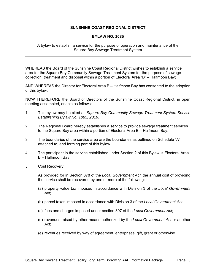#### **SUNSHINE COAST REGIONAL DISTRICT**

#### **BYLAW NO. 1085**

A bylaw to establish a service for the purpose of operation and maintenance of the Square Bay Sewage Treatment System

WHEREAS the Board of the Sunshine Coast Regional District wishes to establish a service area for the Square Bay Community Sewage Treatment System for the purpose of sewage collection, treatment and disposal within a portion of Electoral Area "B" – Halfmoon Bay;

AND WHEREAS the Director for Electoral Area B – Halfmoon Bay has consented to the adoption of this bylaw;

NOW THEREFORE the Board of Directors of the Sunshine Coast Regional District, in open meeting assembled, enacts as follows:

- 1. This bylaw may be cited as *Square Bay Community Sewage Treatment System Service Establishing Bylaw No. 1085, 2016.*
- 2. The Regional Board hereby establishes a service to provide sewage treatment services to the Square Bay area within a portion of Electoral Area B – Halfmoon Bay.
- 3. The boundaries of the service area are the boundaries as outlined on Schedule "A" attached to, and forming part of this bylaw.
- 4. The participant in the service established under Section 2 of this Bylaw is Electoral Area B – Halfmoon Bay.
- 5. Cost Recovery

As provided for in Section 378 of the *Local Government Act*, the annual cost of providing the service shall be recovered by one or more of the following:

- (a) property value tax imposed in accordance with Division 3 of the *Local Government Act*;
- (b) parcel taxes imposed in accordance with Division 3 of the *Local Government Act*;
- (c) fees and charges imposed under section 397 of the *Local Government Act*;
- (d) revenues raised by other means authorized by the *Local Government Act* or another Act;
- (e) revenues received by way of agreement, enterprises, gift, grant or otherwise.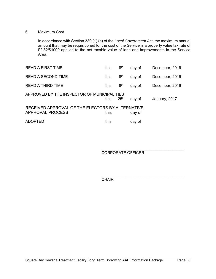#### 6. Maximum Cost

In accordance with Section 339 (1) (e) of the *Local Government Act*, the maximum annual amount that may be requisitioned for the cost of the Service is a property value tax rate of \$2.32/\$1000 applied to the net taxable value of land and improvements in the Service Area.

| <b>READ A FIRST TIME</b>                                             | this | 8 <sup>th</sup>  | day of | December, 2016 |
|----------------------------------------------------------------------|------|------------------|--------|----------------|
| <b>READ A SECOND TIME</b>                                            | this | 8 <sup>th</sup>  | day of | December, 2016 |
| READ A THIRD TIME                                                    | this | 8 <sup>th</sup>  | day of | December, 2016 |
| APPROVED BY THE INSPECTOR OF MUNICIPALITIES                          | this | 25 <sup>th</sup> | day of | January, 2017  |
| RECEIVED APPROVAL OF THE ELECTORS BY ALTERNATIVE<br>APPROVAL PROCESS | this |                  | day of |                |
| ADOPTED                                                              | this |                  | day of |                |

 $\overline{\phantom{a}}$  , which is a set of the set of the set of the set of the set of the set of the set of the set of the set of the set of the set of the set of the set of the set of the set of the set of the set of the set of th CORPORATE OFFICER

**CHAIR** 

 $\overline{\phantom{a}}$  , which is a set of the set of the set of the set of the set of the set of the set of the set of the set of the set of the set of the set of the set of the set of the set of the set of the set of the set of th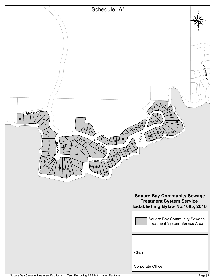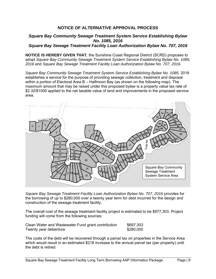#### **NOTICE OF ALTERNATIVE APPROVAL PROCESS**

#### *Square Bay Community Sewage Treatment System Service Establishing Bylaw No. 1085, 2016 Square Bay Sewage Treatment Facility Loan Authorization Bylaw No. 707, 2016*

**NOTICE IS HEREBY GIVEN THAT**, the Sunshine Coast Regional District (SCRD) proposes to adopt *Square Bay Community Sewage Treatment System Service Establishing Bylaw No. 1085, 2016* and *Square Bay Sewage Treatment Facility Loan Authorization Bylaw No. 707, 2016.* 

*Square Bay Community Sewage Treatment System Service Establishing Bylaw No. 1085,* 2016 establishes a service for the purpose of providing sewage collection, treatment and disposal within a portion of Electoral Area B – Halfmoon Bay (as shown on the following map). The maximum amount that may be raised under this proposed bylaw is a property value tax rate of \$2.32/\$1000 applied to the net taxable value of land and improvements in the proposed service area.



*Square Bay Sewage Treatment Facility Loan Authorization Bylaw No. 707, 2016* provides for the borrowing of up to \$280,000 over a twenty year term for debt incurred for the design and construction of the sewage treatment facility.

The overall cost of the sewage treatment facility project is estimated to be \$977,303. Project funding will come from the following sources:

| Clean Water and Wastewater Fund grant contribution | \$697,303 |
|----------------------------------------------------|-----------|
| Twenty year debenture                              | \$280,000 |

The costs of the debt will be recovered through a parcel tax on properties in the Service Area which would result in an estimated \$218 increase to the annual parcel tax (per property) until the debt is retired.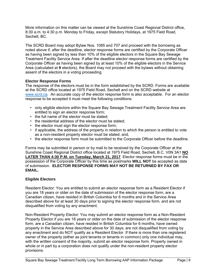More information on this matter can be viewed at the Sunshine Coast Regional District office, 8:30 a.m. to 4:30 p.m. Monday to Friday, except Statutory Holidays, at 1975 Field Road, Sechelt, BC.

The SCRD Board may adopt Bylaw Nos. 1085 and 707 and proceed with the borrowing as noted above if, after the deadline, elector response forms are certified by the Corporate Officer as having been signed by less than 10% of the eligible electors in the Square Bay Sewage Treatment Facility Service Area. If after the deadline elector response forms are certified by the Corporate Officer as having been signed by at least 10% of the eligible electors in the Service Area (calculated at **9** electors), the Board may not proceed with the bylaws without obtaining assent of the electors in a voting proceeding.

#### **Elector Response Forms**

The response of the electors must be in the form established by the SCRD. Forms are available at the SCRD office located at 1975 Field Road, Sechelt and on the SCRD website at www.scrd.ca. An accurate copy of the elector response form is also acceptable. For an elector response to be accepted it must meet the following conditions:

- only eligible electors within the Square Bay Sewage Treatment Facility Service Area are entitled to sign an elector response form;
- the full name of the elector must be stated;
- the residential address of the elector must be stated;
- the elector must sign the elector response form;
- if applicable, the address of the property in relation to which the person is entitled to vote as a non-resident property elector must be stated; and,
- the elector response form must be submitted to the Corporate Officer before the deadline.

Forms may be submitted in person or by mail to be received by the Corporate Officer at the Sunshine Coast Regional District office located at 1975 Field Road, Sechelt, B.C. V0N 3A1 **NO LATER THAN 4:30 P.M. on Tuesday, March 21, 2017**. Elector response forms must be in the possession of the Corporate Officer by this time as postmarks **WILL NOT** be accepted as date of submission. **ELECTOR RESPONSE FORMS MAY NOT BE RETURNED BY FAX OR EMAIL.** 

#### **Eligible Electors**

Resident Elector: You are entitled to submit an elector response form as a Resident Elector if you are 18 years or older on the date of submission of the elector response form, are a Canadian citizen, have resided in British Columbia for 6 months and in the Service Area described above for at least 30 days prior to signing the elector response form, and are not disqualified from voting by any enactment.

Non-Resident Property Elector: You may submit an elector response form as a Non-Resident Property Elector if you are 18 years or older on the date of submission of the elector response form, are a Canadian citizen, have resided in British Columbia for 6 months, have owned property in the Service Area described above for 30 days; are not disqualified from voting by any enactment and do NOT qualify as a Resident Elector. If there is more than one registered owner of the property (either as joint tenants or tenants in common) only one individual may, with the written consent of the majority, submit an elector response form. Property owned in whole or in part by a corporation does not qualify under the non-resident property elector provisions.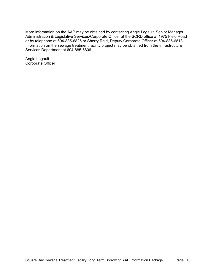More information on the AAP may be obtained by contacting Angie Legault, Senior Manager, Administration & Legislative Services/Corporate Officer at the SCRD office at 1975 Field Road or by telephone at 604-885-6825 or Sherry Reid, Deputy Corporate Officer at 604-885-6813. Information on the sewage treatment facility project may be obtained from the Infrastructure Services Department at 604-885-6806.

Angie Legault Corporate Officer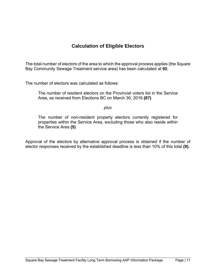# **Calculation of Eligible Electors**

The total number of electors of the area to which the approval process applies (the Square Bay Community Sewage Treatment service area) has been calculated at **92**.

The number of electors was calculated as follows:

The number of resident electors on the Provincial voters list in the Service Area, as received from Elections BC on March 30, 2016 **(87)**

*plus* 

The number of non-resident property electors currently registered for properties within the Service Area, excluding those who also reside within the Service Area **(5)**

Approval of the electors by alternative approval process is obtained if the number of elector responses received by the established deadline is less than 10% of this total **(9).**